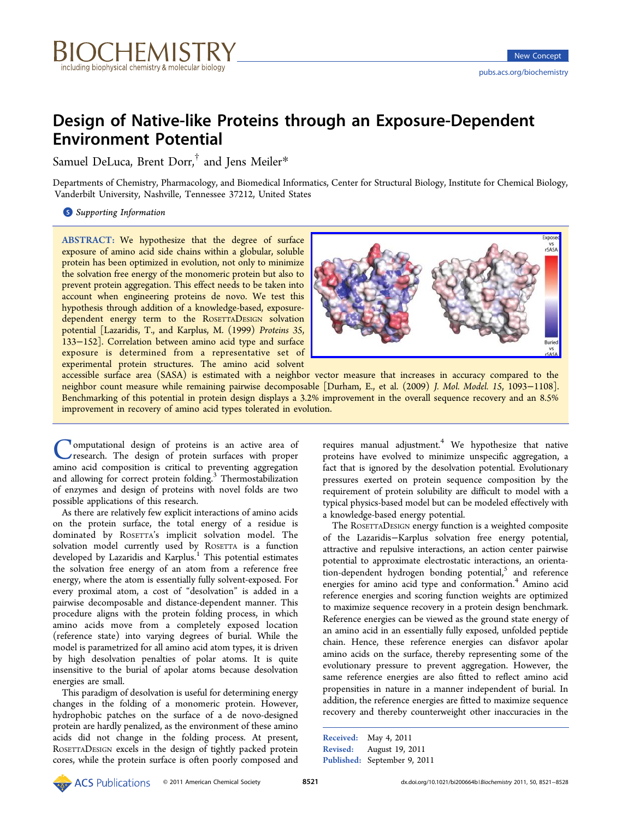

New Concept

pubs.acs.org/biochemistry

# **Design of Native-like Proteins through an Exposure-Dependent Environment Potential**

Samuel DeLuca, Brent Dorr,<sup>[†](#page-7-0)</sup> and Jens Meiler[\\*](#page-7-0)

Departments of Chemistry, Pharmacology, and Biomedical Informatics, Center for Structural Biology, Institute for Chemical Biology, Vanderbilt University, Nashville, Tennessee 37212, United States

\***<sup>S</sup>** *Supporting Information*

ABSTRACT: We hypothesize that the degree of surface exposure of amino acid side chains within a globular, soluble protein has been optimized in evolution, not only to minimize the solvation free energy of the monomeric protein but also to prevent protein aggregation. This effect needs to be taken into account when engineering proteins de novo. We test this hypothesis through addition of a knowledge-based, exposuredependent energy term to the ROSETTADESIGN solvation potential [Lazaridis, T., and Karplus, M. (1999) *Proteins 35*, 133−152]. Correlation between amino acid type and surface exposure is determined from a representative set of experimental protein structures. The amino acid solvent



accessible surface area (SASA) is estimated with a neighbor vector measure that increases in accuracy compared to the neighbor count measure while remaining pairwise decomposable [Durham, E., et al. (2009) *J. Mol. Model. 15*, 1093−1108]. Benchmarking of this potential in protein design displays a 3.2% improvement in the overall sequence recovery and an 8.5% improvement in recovery of amino acid types tolerated in evolution.

Computational design of proteins is an active area of research. The design of protein surfaces with proper amino acid composition is critical to preventing aggregation and allowing for correct protein folding.<sup>3</sup> Thermostabilization of enzymes and design of proteins wit[h](#page-7-0) novel folds are two possible applications of this research.

As there are relatively few explicit interactions of amino acids on the protein surface, the total energy of a residue is dominated by ROSETTA's implicit solvation model. The solvation model currently used by ROSETTA is a function developed by Lazaridis and Karplus.<sup>1</sup> This potential estimates the solvation free energy of an at[om](#page-7-0) from a reference free energy, where the atom is essentially fully solvent-exposed. For every proximal atom, a cost of "desolvation" is added in a pairwise decomposable and distance-dependent manner. This procedure aligns with the protein folding process, in which amino acids move from a completely exposed location (reference state) into varying degrees of burial. While the model is parametrized for all amino acid atom types, it is driven by high desolvation penalties of polar atoms. It is quite insensitive to the burial of apolar atoms because desolvation energies are small.

This paradigm of desolvation is useful for determining energy changes in the folding of a monomeric protein. However, hydrophobic patches on the surface of a de novo-designed protein are hardly penalized, as the environment of these amino acids did not change in the folding process. At present, ROSETTADESIGN excels in the design of tightly packed protein cores, while the protein surface is often poorly composed and

requires manual adjustment. $4$  We hypothesize that native proteins have evolved to mi[ni](#page-7-0)mize unspecific aggregation, a fact that is ignored by the desolvation potential. Evolutionary pressures exerted on protein sequence composition by the requirement of protein solubility are difficult to model with a typical physics-based model but can be modeled effectively with a knowledge-based energy potential.

The ROSETTADESIGN energy function is a weighted composite of the Lazaridis−Karplus solvation free energy potential, attractive and repulsive interactions, an action center pairwise potential to approximate electrostatic interactions, an orientation-dependent hydrogen bonding potential, $5$  and reference energies for amino acid type and c[on](#page-7-0)formation.<sup>4</sup> Amino acid reference energies and scoring function weights [ar](#page-7-0)e optimized to maximize sequence recovery in a protein design benchmark. Reference energies can be viewed as the ground state energy of an amino acid in an essentially fully exposed, unfolded peptide chain. Hence, these reference energies can disfavor apolar amino acids on the surface, thereby representing some of the evolutionary pressure to prevent aggregation. However, the same reference energies are also fitted to reflect amino acid propensities in nature in a manner independent of burial. In addition, the reference energies are fitted to maximize sequence recovery and thereby counterweight other inaccuracies in the

Received: May 4, 2011 Revised: August 19, 2011 Published: September 9, 2011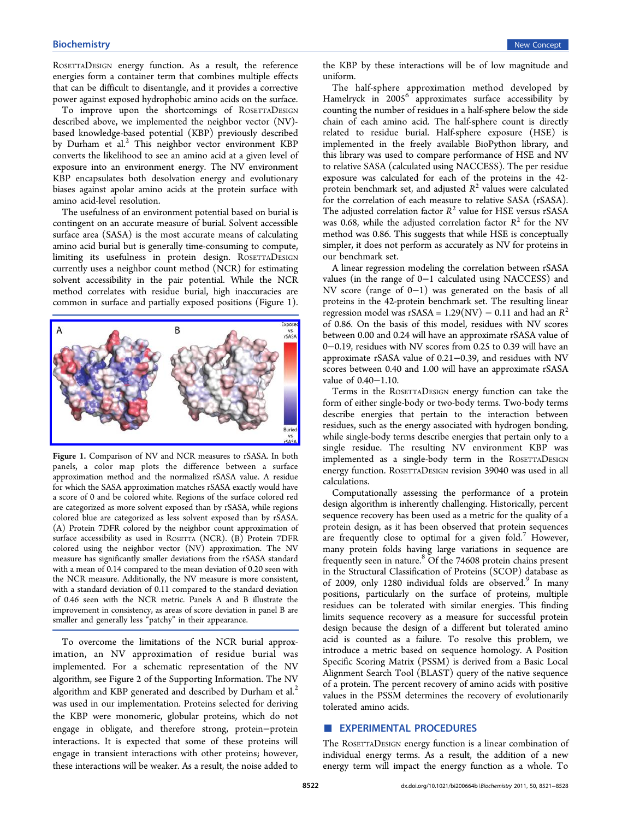ROSETTADESIGN energy function. As a result, the reference energies form a container term that combines multiple effects that can be difficult to disentangle, and it provides a corrective power against exposed hydrophobic amino acids on the surface.

To improve upon the shortcomings of ROSETTADESIGN described above, we implemented the neighbor vector (NV) based knowledge-based potential (KBP) previously described by Durham et al.<sup>2</sup> This neighbor vector environment KBP converts the likeli[ho](#page-7-0)od to see an amino acid at a given level of exposure into an environment energy. The NV environment KBP encapsulates both desolvation energy and evolutionary biases against apolar amino acids at the protein surface with amino acid-level resolution.

The usefulness of an environment potential based on burial is contingent on an accurate measure of burial. Solvent accessible surface area (SASA) is the most accurate means of calculating amino acid burial but is generally time-consuming to compute, limiting its usefulness in protein design. ROSETTADESIGN currently uses a neighbor count method (NCR) for estimating solvent accessibility in the pair potential. While the NCR method correlates with residue burial, high inaccuracies are common in surface and partially exposed positions (Figure 1).



Figure 1. Comparison of NV and NCR measures to rSASA. In both panels, a color map plots the difference between a surface approximation method and the normalized rSASA value. A residue for which the SASA approximation matches rSASA exactly would have a score of 0 and be colored white. Regions of the surface colored red are categorized as more solvent exposed than by rSASA, while regions colored blue are categorized as less solvent exposed than by rSASA. (A) Protein 7DFR colored by the neighbor count approximation of surface accessibility as used in ROSETTA (NCR). (B) Protein 7DFR colored using the neighbor vector (NV) approximation. The NV measure has significantly smaller deviations from the rSASA standard with a mean of 0.14 compared to the mean deviation of 0.20 seen with the NCR measure. Additionally, the NV measure is more consistent, with a standard deviation of 0.11 compared to the standard deviation of 0.46 seen with the NCR metric. Panels A and B illustrate the improvement in consistency, as areas of score deviation in panel B are smaller and generally less "patchy" in their appearance.

To overcome the limitations of the NCR burial approximation, an NV approximation of residue burial was implemented. For a schematic representation of the NV algorithm, see Figure 2 of the Supporting Information. The NV algorithm and KBP generated [and described by Durha](#page-7-0)m et al. $2$ was used in our implementation. Proteins selected for derivin[g](#page-7-0) the KBP were monomeric, globular proteins, which do not engage in obligate, and therefore strong, protein−protein interactions. It is expected that some of these proteins will engage in transient interactions with other proteins; however, these interactions will be weaker. As a result, the noise added to

the KBP by these interactions will be of low magnitude and uniform.

The half-sphere approximation method developed by Hamelryck in 2005<sup>6</sup> approximates surface accessibility by counting the number [o](#page-7-0)f residues in a half-sphere below the side chain of each amino acid. The half-sphere count is directly related to residue burial. Half-sphere exposure (HSE) is implemented in the freely available BioPython library, and this library was used to compare performance of HSE and NV to relative SASA (calculated using NACCESS). The per residue exposure was calculated for each of the proteins in the 42 protein benchmark set, and adjusted *R*<sup>2</sup> values were calculated for the correlation of each measure to relative SASA (rSASA). The adjusted correlation factor  $R^2$  value for HSE versus rSASA was 0.68, while the adjusted correlation factor  $R^2$  for the NV method was 0.86. This suggests that while HSE is conceptually simpler, it does not perform as accurately as NV for proteins in our benchmark set.

A linear regression modeling the correlation between rSASA values (in the range of 0−1 calculated using NACCESS) and NV score (range of 0−1) was generated on the basis of all proteins in the 42-protein benchmark set. The resulting linear regression model was rSASA =  $1.29(NV) - 0.11$  and had an  $R^2$ of 0.86. On the basis of this model, residues with NV scores between 0.00 and 0.24 will have an approximate rSASA value of 0−0.19, residues with NV scores from 0.25 to 0.39 will have an approximate rSASA value of 0.21−0.39, and residues with NV scores between 0.40 and 1.00 will have an approximate rSASA value of 0.40−1.10.

Terms in the ROSETTADESIGN energy function can take the form of either single-body or two-body terms. Two-body terms describe energies that pertain to the interaction between residues, such as the energy associated with hydrogen bonding, while single-body terms describe energies that pertain only to a single residue. The resulting NV environment KBP was implemented as a single-body term in the ROSETTADESIGN energy function. ROSETTADESIGN revision 39040 was used in all calculations.

Computationally assessing the performance of a protein design algorithm is inherently challenging. Historically, percent sequence recovery has been used as a metric for the quality of a protein design, as it has been observed that protein sequences are frequently close to optimal for a given fold.<sup>7</sup> However, many protein folds having large variations in s[eq](#page-7-0)uence are frequently seen in nature.<sup>8</sup> Of the 74608 protein chains present in the Structural Classific[a](#page-7-0)tion of Proteins (SCOP) database as of 2009, only 1280 individual folds are observed.<sup>9</sup> In many positions, particularly on the surface of protein[s,](#page-7-0) multiple residues can be tolerated with similar energies. This finding limits sequence recovery as a measure for successful protein design because the design of a different but tolerated amino acid is counted as a failure. To resolve this problem, we introduce a metric based on sequence homology. A Position Specific Scoring Matrix (PSSM) is derived from a Basic Local Alignment Search Tool (BLAST) query of the native sequence of a protein. The percent recovery of amino acids with positive values in the PSSM determines the recovery of evolutionarily tolerated amino acids.

# ■ **EXPERIMENTAL PROCEDURES**

The ROSETTADESIGN energy function is a linear combination of individual energy terms. As a result, the addition of a new energy term will impact the energy function as a whole. To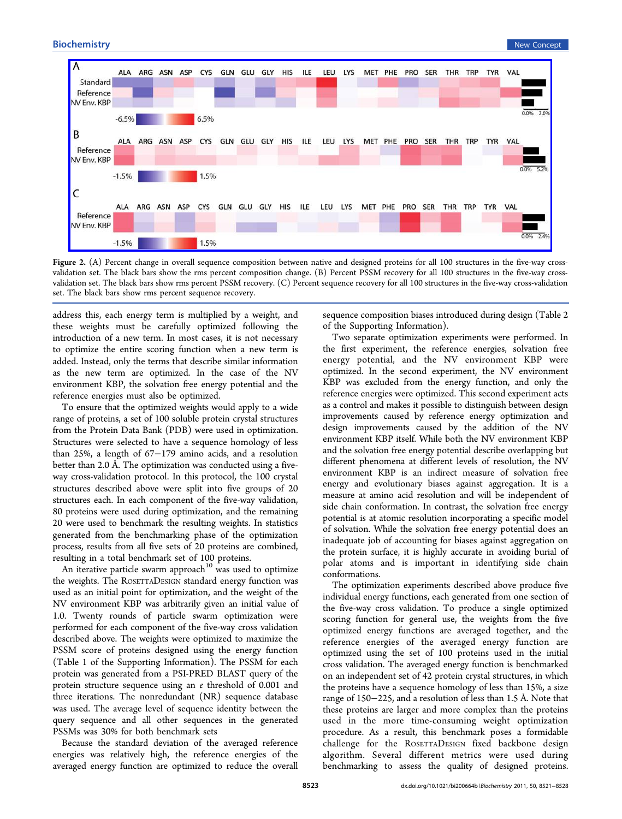<span id="page-2-0"></span>

Figure 2. [\(A\)](http://pubs.acs.org/action/showImage?doi=10.1021/bi200664b&iName=master.img-002.jpg&w=467&h=182) [Percent](http://pubs.acs.org/action/showImage?doi=10.1021/bi200664b&iName=master.img-002.jpg&w=467&h=182) [change](http://pubs.acs.org/action/showImage?doi=10.1021/bi200664b&iName=master.img-002.jpg&w=467&h=182) [in](http://pubs.acs.org/action/showImage?doi=10.1021/bi200664b&iName=master.img-002.jpg&w=467&h=182) [overall](http://pubs.acs.org/action/showImage?doi=10.1021/bi200664b&iName=master.img-002.jpg&w=467&h=182) [sequence](http://pubs.acs.org/action/showImage?doi=10.1021/bi200664b&iName=master.img-002.jpg&w=467&h=182) [composition](http://pubs.acs.org/action/showImage?doi=10.1021/bi200664b&iName=master.img-002.jpg&w=467&h=182) [between](http://pubs.acs.org/action/showImage?doi=10.1021/bi200664b&iName=master.img-002.jpg&w=467&h=182) [native](http://pubs.acs.org/action/showImage?doi=10.1021/bi200664b&iName=master.img-002.jpg&w=467&h=182) [and](http://pubs.acs.org/action/showImage?doi=10.1021/bi200664b&iName=master.img-002.jpg&w=467&h=182) [designed](http://pubs.acs.org/action/showImage?doi=10.1021/bi200664b&iName=master.img-002.jpg&w=467&h=182) [proteins](http://pubs.acs.org/action/showImage?doi=10.1021/bi200664b&iName=master.img-002.jpg&w=467&h=182) [for](http://pubs.acs.org/action/showImage?doi=10.1021/bi200664b&iName=master.img-002.jpg&w=467&h=182) [all](http://pubs.acs.org/action/showImage?doi=10.1021/bi200664b&iName=master.img-002.jpg&w=467&h=182) [100](http://pubs.acs.org/action/showImage?doi=10.1021/bi200664b&iName=master.img-002.jpg&w=467&h=182) [structures](http://pubs.acs.org/action/showImage?doi=10.1021/bi200664b&iName=master.img-002.jpg&w=467&h=182) in [the](http://pubs.acs.org/action/showImage?doi=10.1021/bi200664b&iName=master.img-002.jpg&w=467&h=182) [five-way](http://pubs.acs.org/action/showImage?doi=10.1021/bi200664b&iName=master.img-002.jpg&w=467&h=182) [c](http://pubs.acs.org/action/showImage?doi=10.1021/bi200664b&iName=master.img-002.jpg&w=467&h=182)rossvalidation set. The black bars show the rms percent composition change. (B) Percent PSSM recovery for all 100 structures in the five-way crossvalidation set. The black bars show rms percent PSSM recovery. (C) Percent sequence recovery for all 100 structures in the five-way cross-validation set. The black bars show rms percent sequence recovery.

address this, each energy term is multiplied by a weight, and these weights must be carefully optimized following the introduction of a new term. In most cases, it is not necessary to optimize the entire scoring function when a new term is added. Instead, only the terms that describe similar information as the new term are optimized. In the case of the NV environment KBP, the solvation free energy potential and the reference energies must also be optimized.

To ensure that the optimized weights would apply to a wide range of proteins, a set of 100 soluble protein crystal structures from the Protein Data Bank (PDB) were used in optimization. Structures were selected to have a sequence homology of less than 25%, a length of 67−179 amino acids, and a resolution better than 2.0 Å. The optimization was conducted using a fiveway cross-validation protocol. In this protocol, the 100 crystal structures described above were split into five groups of 20 structures each. In each component of the five-way validation, 80 proteins were used during optimization, and the remaining 20 were used to benchmark the resulting weights. In statistics generated from the benchmarking phase of the optimization process, results from all five sets of 20 proteins are combined, resulting in a total benchmark set of 100 proteins.

An iterative particle swarm approach<sup>10</sup> was used to optimize the weights. The ROSETTADESIGN stand[ard](#page-7-0) energy function was used as an initial point for optimization, and the weight of the NV environment KBP was arbitrarily given an initial value of 1.0. Twenty rounds of particle swarm optimization were performed for each component of the five-way cross validation described above. The weights were optimized to maximize the PSSM score of proteins designed using the energy function (Table 1 of the Supporting Information). The PSSM for each protein was gen[erated from a PSI-PRED](#page-7-0) BLAST query of the protein structure sequence using an *e* threshold of 0.001 and three iterations. The nonredundant (NR) sequence database was used. The average level of sequence identity between the query sequence and all other sequences in the generated PSSMs was 30% for both benchmark sets

Because the standard deviation of the averaged reference energies was relatively high, the reference energies of the averaged energy function are optimized to reduce the overall

sequence composition biases introduced during design (Table 2 of the Supporting Information).

Tw[o separate optimization e](#page-7-0)xperiments were performed. In the first experiment, the reference energies, solvation free energy potential, and the NV environment KBP were optimized. In the second experiment, the NV environment KBP was excluded from the energy function, and only the reference energies were optimized. This second experiment acts as a control and makes it possible to distinguish between design improvements caused by reference energy optimization and design improvements caused by the addition of the NV environment KBP itself. While both the NV environment KBP and the solvation free energy potential describe overlapping but different phenomena at different levels of resolution, the NV environment KBP is an indirect measure of solvation free energy and evolutionary biases against aggregation. It is a measure at amino acid resolution and will be independent of side chain conformation. In contrast, the solvation free energy potential is at atomic resolution incorporating a specific model of solvation. While the solvation free energy potential does an inadequate job of accounting for biases against aggregation on the protein surface, it is highly accurate in avoiding burial of polar atoms and is important in identifying side chain conformations.

The optimization experiments described above produce five individual energy functions, each generated from one section of the five-way cross validation. To produce a single optimized scoring function for general use, the weights from the five optimized energy functions are averaged together, and the reference energies of the averaged energy function are optimized using the set of 100 proteins used in the initial cross validation. The averaged energy function is benchmarked on an independent set of 42 protein crystal structures, in which the proteins have a sequence homology of less than 15%, a size range of 150−225, and a resolution of less than 1.5 Å. Note that these proteins are larger and more complex than the proteins used in the more time-consuming weight optimization procedure. As a result, this benchmark poses a formidable challenge for the ROSETTADESIGN fixed backbone design algorithm. Several different metrics were used during benchmarking to assess the quality of designed proteins.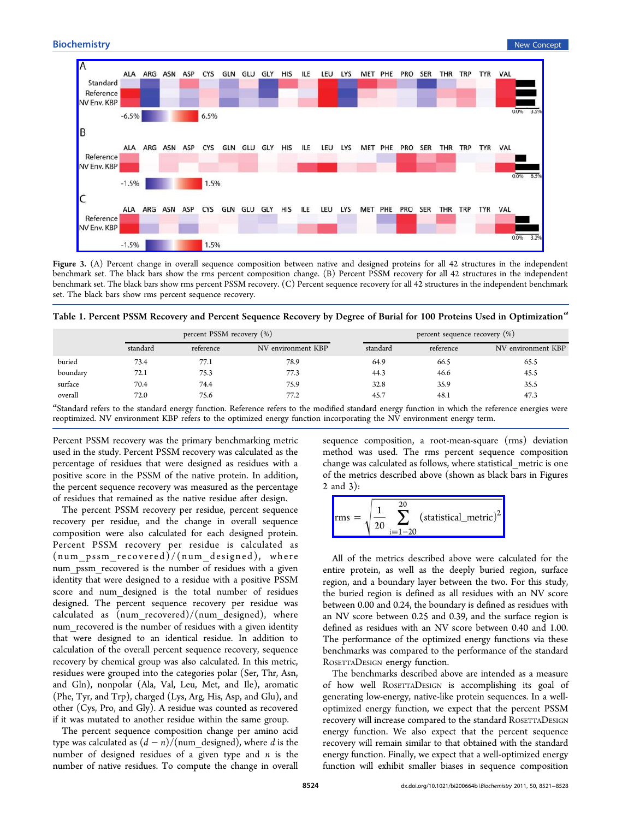<span id="page-3-0"></span>

Figure 3. (A) Percent change in overall sequence composition between native and designed proteins for all 42 structures in the independent benchmark set. The black bars show the rms percent composition change. (B) Percent PSSM recovery for all 42 structures in the independent benchmark set. The black bars show rms percent PSSM recovery. (C) Percent sequence recovery for all 42 structures in the independent benchmark set. The black bars show rms percent sequence recovery.

Table 1. Percent PSSM Recovery and Percent Sequence Recovery by Degree of Burial for 100 Proteins Used in Optimization*<sup>a</sup>*

|          |          | percent PSSM recovery (%) |                    |          | percent sequence recovery (%) |                    |  |
|----------|----------|---------------------------|--------------------|----------|-------------------------------|--------------------|--|
|          | standard | reference                 | NV environment KBP | standard | reference                     | NV environment KBP |  |
| buried   | 73.4     | 77.1                      | 78.9               | 64.9     | 66.5                          | 65.5               |  |
| boundary | 72.1     | 75.3                      | 77.3               | 44.3     | 46.6                          | 45.5               |  |
| surface  | 70.4     | 74.4                      | 75.9               | 32.8     | 35.9                          | 35.5               |  |
| overall  | 72.0     | 75.6                      | 77.2               | 45.7     | 48.1                          | 47.3               |  |

*a* Standard refers to the standard energy function. Reference refers to the modified standard energy function in which the reference energies were reoptimized. NV environment KBP refers to the optimized energy function incorporating the NV environment energy term.

Percent PSSM recovery was the primary benchmarking metric used in the study. Percent PSSM recovery was calculated as the percentage of residues that were designed as residues with a positive score in the PSSM of the native protein. In addition, the percent sequence recovery was measured as the percentage of residues that remained as the native residue after design.

The percent PSSM recovery per residue, percent sequence recovery per residue, and the change in overall sequence composition were also calculated for each designed protein. Percent PSSM recovery per residue is calculated as (num pssm recovered)/(num designed), where num pssm recovered is the number of residues with a given identity that were designed to a residue with a positive PSSM score and num\_designed is the total number of residues designed. The percent sequence recovery per residue was calculated as  $(num recorded)/(num designed)$ , where num recovered is the number of residues with a given identity that were designed to an identical residue. In addition to calculation of the overall percent sequence recovery, sequence recovery by chemical group was also calculated. In this metric, residues were grouped into the categories polar (Ser, Thr, Asn, and Gln), nonpolar (Ala, Val, Leu, Met, and Ile), aromatic (Phe, Tyr, and Trp), charged (Lys, Arg, His, Asp, and Glu), and other (Cys, Pro, and Gly). A residue was counted as recovered if it was mutated to another residue within the same group.

The percent sequence composition change per amino acid type was calculated as  $(d - n) / (num$  designed), where *d* is the number of designed residues of a given type and *n* is the number of native residues. To compute the change in overall

sequence composition, a root-mean-square (rms) deviation method was used. The rms percent sequence composition change was calculated as follows, where statistical\_metric is one of the metrics described above (shown as black bars in Figures [2](#page-2-0) and 3):



All of the metrics described above were calculated for the entire protein, as well as the deeply buried region, surface region, and a boundary layer between the two. For this study, the buried region is defined as all residues with an NV score between 0.00 and 0.24, the boundary is defined as residues with an NV score between 0.25 and 0.39, and the surface region is defined as residues with an NV score between 0.40 and 1.00. The performance of the optimized energy functions via these benchmarks was compared to the performance of the standard ROSETTADESIGN energy function.

The benchmarks described above are intended as a measure of how well ROSETTADESIGN is accomplishing its goal of generating low-energy, native-like protein sequences. In a welloptimized energy function, we expect that the percent PSSM recovery will increase compared to the standard ROSETTADESIGN energy function. We also expect that the percent sequence recovery will remain similar to that obtained with the standard energy function. Finally, we expect that a well-optimized energy function will exhibit smaller biases in sequence composition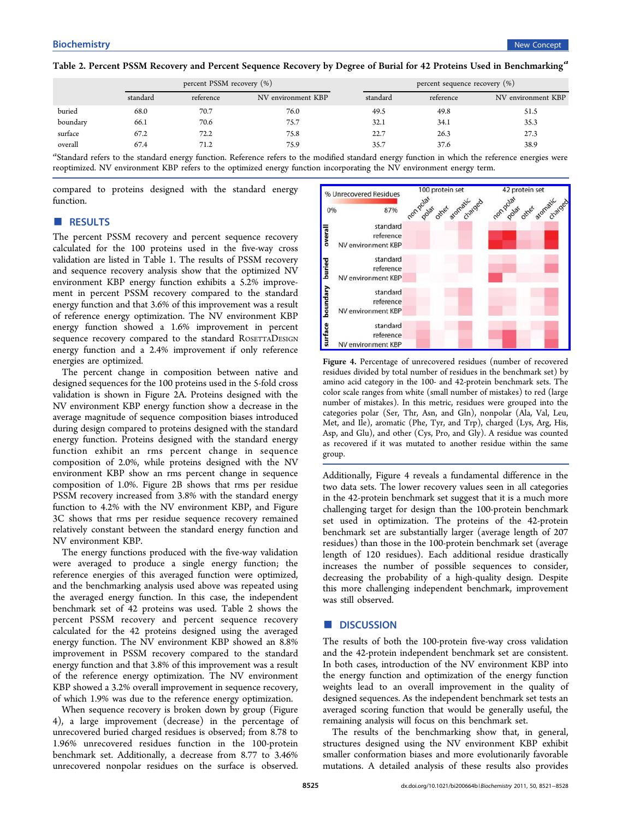<span id="page-4-0"></span>Table 2. Percent PSSM Recovery and Percent Sequence Recovery by Degree of Burial for 42 Proteins Used in Benchmarking*<sup>a</sup>*

|          | percent PSSM recovery (%) |           |                    |          | percent sequence recovery (%) |                    |  |
|----------|---------------------------|-----------|--------------------|----------|-------------------------------|--------------------|--|
|          | standard                  | reference | NV environment KBP | standard | reference                     | NV environment KBP |  |
| buried   | 68.0                      | 70.7      | 76.0               | 49.5     | 49.8                          | 51.5               |  |
| boundary | 66.1                      | 70.6      | 75.7               | 32.1     | 34.1                          | 35.3               |  |
| surface  | 67.2                      | 72.2      | 75.8               | 22.7     | 26.3                          | 27.3               |  |
| overall  | 67.4                      | 71.2      | 75.9               | 35.7     | 37.6                          | 38.9               |  |

*a* Standard refers to the standard energy function. Reference refers to the modified standard energy function in which the reference energies were reoptimized. NV environment KBP refers to the optimized energy function incorporating the NV environment energy term.

compared to proteins designed with the standard energy function.

# ■ **RESULTS**

The percent PSSM recovery and percent sequence recovery calculated for the 100 proteins used in the five-way cross validation are listed in Table 1. The results of PSSM recovery and sequence recovery analy[sis](#page-3-0) show that the optimized NV environment KBP energy function exhibits a 5.2% improvement in percent PSSM recovery compared to the standard energy function and that 3.6% of this improvement was a result of reference energy optimization. The NV environment KBP energy function showed a 1.6% improvement in percent sequence recovery compared to the standard ROSETTADESIGN energy function and a 2.4% improvement if only reference energies are optimized.

The percent change in composition between native and designed sequences for the 100 proteins used in the 5-fold cross validation is shown in Figure 2A. Proteins designed with the NV environment KBP energy [fu](#page-2-0)nction show a decrease in the average magnitude of sequence composition biases introduced during design compared to proteins designed with the standard energy function. Proteins designed with the standard energy function exhibit an rms percent change in sequence composition of 2.0%, while proteins designed with the NV environment KBP show an rms percent change in sequence composition of 1.0%. Figure 2B shows that rms per residue PSSM recovery increased fro[m](#page-2-0) 3.8% with the standard energy function to 4.2% with the NV environment KBP, and Figure 3C shows that rms per residue sequence recovery remained [re](#page-3-0)latively constant between the standard energy function and NV environment KBP.

The energy functions produced with the five-way validation were averaged to produce a single energy function; the reference energies of this averaged function were optimized, and the benchmarking analysis used above was repeated using the averaged energy function. In this case, the independent benchmark set of 42 proteins was used. Table 2 shows the percent PSSM recovery and percent sequence recovery calculated for the 42 proteins designed using the averaged energy function. The NV environment KBP showed an 8.8% improvement in PSSM recovery compared to the standard energy function and that 3.8% of this improvement was a result of the reference energy optimization. The NV environment KBP showed a 3.2% overall improvement in sequence recovery, of which 1.9% was due to the reference energy optimization.

When sequence recovery is broken down by group (Figure 4), a large improvement (decrease) in the percentage of unrecovered buried charged residues is observed; from 8.78 to 1.96% unrecovered residues function in the 100-protein benchmark set. Additionally, a decrease from 8.77 to 3.46% unrecovered nonpolar residues on the surface is observed.



Figure 4. [Percentage](http://pubs.acs.org/action/showImage?doi=10.1021/bi200664b&iName=master.img-005.jpg&w=238&h=157) [of](http://pubs.acs.org/action/showImage?doi=10.1021/bi200664b&iName=master.img-005.jpg&w=238&h=157) [unrecovered](http://pubs.acs.org/action/showImage?doi=10.1021/bi200664b&iName=master.img-005.jpg&w=238&h=157) [residues](http://pubs.acs.org/action/showImage?doi=10.1021/bi200664b&iName=master.img-005.jpg&w=238&h=157) [\(number](http://pubs.acs.org/action/showImage?doi=10.1021/bi200664b&iName=master.img-005.jpg&w=238&h=157) [of](http://pubs.acs.org/action/showImage?doi=10.1021/bi200664b&iName=master.img-005.jpg&w=238&h=157) [recovered](http://pubs.acs.org/action/showImage?doi=10.1021/bi200664b&iName=master.img-005.jpg&w=238&h=157) residues divided by total number of residues in the benchmark set) by amino acid category in the 100- and 42-protein benchmark sets. The color scale ranges from white (small number of mistakes) to red (large number of mistakes). In this metric, residues were grouped into the categories polar (Ser, Thr, Asn, and Gln), nonpolar (Ala, Val, Leu, Met, and Ile), aromatic (Phe, Tyr, and Trp), charged (Lys, Arg, His, Asp, and Glu), and other (Cys, Pro, and Gly). A residue was counted as recovered if it was mutated to another residue within the same group.

Additionally, Figure 4 reveals a fundamental difference in the two data sets. The lower recovery values seen in all categories in the 42-protein benchmark set suggest that it is a much more challenging target for design than the 100-protein benchmark set used in optimization. The proteins of the 42-protein benchmark set are substantially larger (average length of 207 residues) than those in the 100-protein benchmark set (average length of 120 residues). Each additional residue drastically increases the number of possible sequences to consider, decreasing the probability of a high-quality design. Despite this more challenging independent benchmark, improvement was still observed.

#### ■ **DISCUSSION**

The results of both the 100-protein five-way cross validation and the 42-protein independent benchmark set are consistent. In both cases, introduction of the NV environment KBP into the energy function and optimization of the energy function weights lead to an overall improvement in the quality of designed sequences. As the independent benchmark set tests an averaged scoring function that would be generally useful, the remaining analysis will focus on this benchmark set.

The results of the benchmarking show that, in general, structures designed using the NV environment KBP exhibit smaller conformation biases and more evolutionarily favorable mutations. A detailed analysis of these results also provides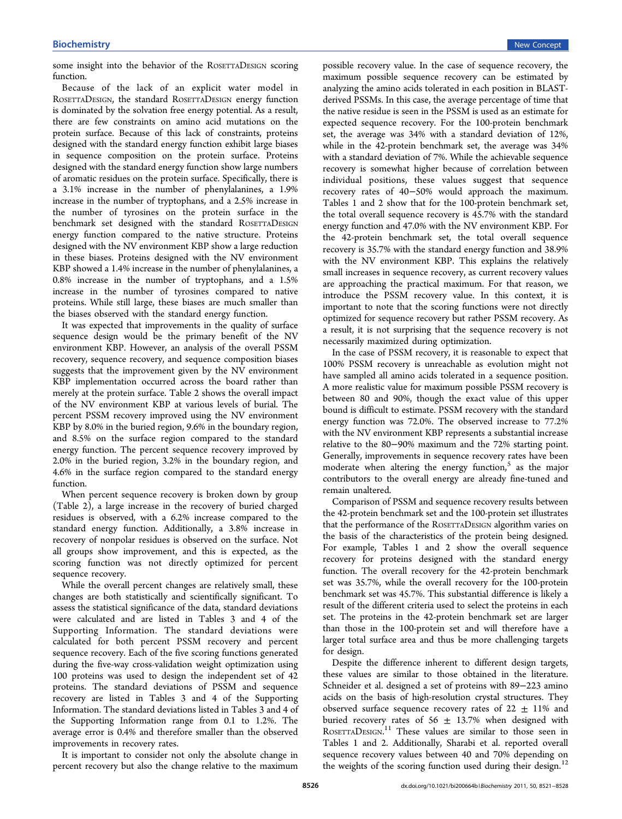some insight into the behavior of the ROSETTADESIGN scoring function.

Because of the lack of an explicit water model in ROSETTADESIGN, the standard ROSETTADESIGN energy function is dominated by the solvation free energy potential. As a result, there are few constraints on amino acid mutations on the protein surface. Because of this lack of constraints, proteins designed with the standard energy function exhibit large biases in sequence composition on the protein surface. Proteins designed with the standard energy function show large numbers of aromatic residues on the protein surface. Specifically, there is a 3.1% increase in the number of phenylalanines, a 1.9% increase in the number of tryptophans, and a 2.5% increase in the number of tyrosines on the protein surface in the benchmark set designed with the standard ROSETTADESIGN energy function compared to the native structure. Proteins designed with the NV environment KBP show a large reduction in these biases. Proteins designed with the NV environment KBP showed a 1.4% increase in the number of phenylalanines, a 0.8% increase in the number of tryptophans, and a 1.5% increase in the number of tyrosines compared to native proteins. While still large, these biases are much smaller than the biases observed with the standard energy function.

It was expected that improvements in the quality of surface sequence design would be the primary benefit of the NV environment KBP. However, an analysis of the overall PSSM recovery, sequence recovery, and sequence composition biases suggests that the improvement given by the NV environment KBP implementation occurred across the board rather than merely at the protein surface. Table 2 shows the overall impact of the NV environment KBP at va[ri](#page-4-0)ous levels of burial. The percent PSSM recovery improved using the NV environment KBP by 8.0% in the buried region, 9.6% in the boundary region, and 8.5% on the surface region compared to the standard energy function. The percent sequence recovery improved by 2.0% in the buried region, 3.2% in the boundary region, and 4.6% in the surface region compared to the standard energy function.

When percent sequence recovery is broken down by group (Table 2), a large increase in the recovery of buried charged residue[s](#page-4-0) is observed, with a 6.2% increase compared to the standard energy function. Additionally, a 3.8% increase in recovery of nonpolar residues is observed on the surface. Not all groups show improvement, and this is expected, as the scoring function was not directly optimized for percent sequence recovery.

While the overall percent changes are relatively small, these changes are both statistically and scientifically significant. To assess the statistical significance of the data, standard deviations were calculated and are listed in Tables 3 and 4 of the Supporting Information. The standard deviations were [calculated for both perc](#page-7-0)ent PSSM recovery and percent sequence recovery. Each of the five scoring functions generated during the five-way cross-validation weight optimization using 100 proteins was used to design the independent set of 42 proteins. The standard deviations of PSSM and sequence recovery are listed in Tables 3 and 4 of the Supporting Information. The standard deviations listed in Table[s 3 and 4 of](#page-7-0) [the Support](#page-7-0)ing Information range from 0.1 to 1.2%. The aver[age error is 0.4% and the](#page-7-0)refore smaller than the observed improvements in recovery rates.

It is important to consider not only the absolute change in percent recovery but also the change relative to the maximum possible recovery value. In the case of sequence recovery, the maximum possible sequence recovery can be estimated by analyzing the amino acids tolerated in each position in BLASTderived PSSMs. In this case, the average percentage of time that the native residue is seen in the PSSM is used as an estimate for expected sequence recovery. For the 100-protein benchmark set, the average was 34% with a standard deviation of 12%, while in the 42-protein benchmark set, the average was 34% with a standard deviation of 7%. While the achievable sequence recovery is somewhat higher because of correlation between individual positions, these values suggest that sequence recovery rates of 40−50% would approach the maximum. Tables 1 and 2 show that for the 100-protein benchmark set, the tot[al](#page-3-0) over[all](#page-4-0) sequence recovery is 45.7% with the standard energy function and 47.0% with the NV environment KBP. For the 42-protein benchmark set, the total overall sequence recovery is 35.7% with the standard energy function and 38.9% with the NV environment KBP. This explains the relatively small increases in sequence recovery, as current recovery values are approaching the practical maximum. For that reason, we introduce the PSSM recovery value. In this context, it is important to note that the scoring functions were not directly optimized for sequence recovery but rather PSSM recovery. As a result, it is not surprising that the sequence recovery is not necessarily maximized during optimization.

In the case of PSSM recovery, it is reasonable to expect that 100% PSSM recovery is unreachable as evolution might not have sampled all amino acids tolerated in a sequence position. A more realistic value for maximum possible PSSM recovery is between 80 and 90%, though the exact value of this upper bound is difficult to estimate. PSSM recovery with the standard energy function was 72.0%. The observed increase to 77.2% with the NV environment KBP represents a substantial increase relative to the 80−90% maximum and the 72% starting point. Generally, improvements in sequence recovery rates have been moderate when altering the energy function, $5$  as the major contributors to the overall energy are already [f](#page-7-0)ine-tuned and remain unaltered.

Comparison of PSSM and sequence recovery results between the 42-protein benchmark set and the 100-protein set illustrates that the performance of the ROSETTADESIGN algorithm varies on the basis of the characteristics of the protein being designed. For example, Tables 1 and 2 show the overall sequence recovery for proteins [d](#page-3-0)esign[ed](#page-4-0) with the standard energy function. The overall recovery for the 42-protein benchmark set was 35.7%, while the overall recovery for the 100-protein benchmark set was 45.7%. This substantial difference is likely a result of the different criteria used to select the proteins in each set. The proteins in the 42-protein benchmark set are larger than those in the 100-protein set and will therefore have a larger total surface area and thus be more challenging targets for design.

Despite the difference inherent to different design targets, these values are similar to those obtained in the literature. Schneider et al. designed a set of proteins with 89−223 amino acids on the basis of high-resolution crystal structures. They observed surface sequence recovery rates of  $22 \pm 11\%$  and buried recovery rates of  $56 \pm 13.7\%$  when designed with ROSETTADESIGN.<sup>11</sup> These values are similar to those seen in Tables 1 and [2.](#page-7-0) Additionally, Sharabi et al. reported overall sequen[ce](#page-3-0) reco[ve](#page-4-0)ry values between 40 and 70% depending on the weights of the scoring function used during their design.<sup>[12](#page-7-0)</sup>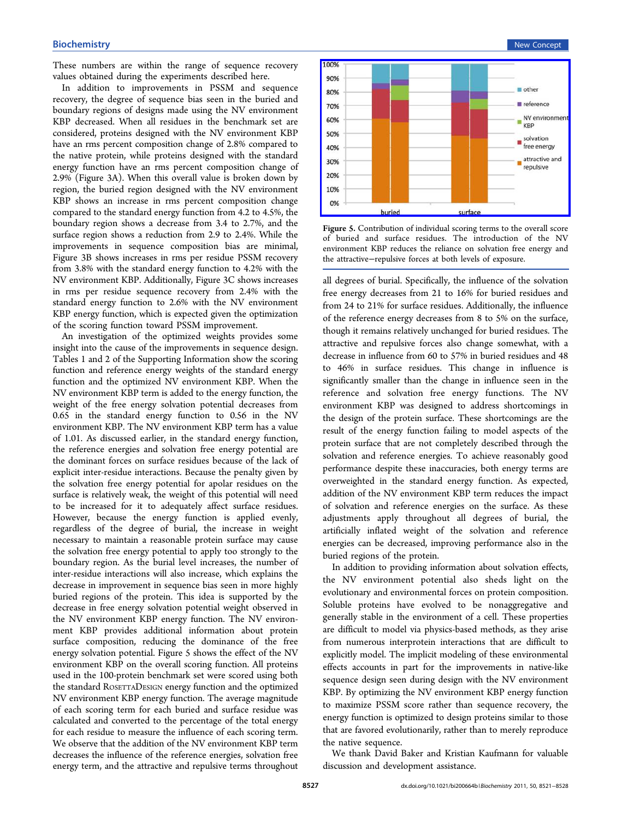These numbers are within the range of sequence recovery values obtained during the experiments described here.

In addition to improvements in PSSM and sequence recovery, the degree of sequence bias seen in the buried and boundary regions of designs made using the NV environment KBP decreased. When all residues in the benchmark set are considered, proteins designed with the NV environment KBP have an rms percent composition change of 2.8% compared to the native protein, while proteins designed with the standard energy function have an rms percent composition change of 2.9% (Figure 3A). When this overall value is broken down by region, the b[ur](#page-3-0)ied region designed with the NV environment KBP shows an increase in rms percent composition change compared to the standard energy function from 4.2 to 4.5%, the boundary region shows a decrease from 3.4 to 2.7%, and the surface region shows a reduction from 2.9 to 2.4%. While the improvements in sequence composition bias are minimal, Figure 3B shows increases in rms per residue PSSM recovery from 3[.8](#page-3-0)% with the standard energy function to 4.2% with the NV environment KBP. Additionally, Figure 3C shows increases in rms per residue sequence recovery fr[om](#page-3-0) 2.4% with the standard energy function to 2.6% with the NV environment KBP energy function, which is expected given the optimization of the scoring function toward PSSM improvement.

An investigation of the optimized weights provides some insight into the cause of the improvements in sequence design. Tables 1 and 2 of the Supporting Information show the scoring function and referenc[e energy weights of the](#page-7-0) standard energy function and the optimized NV environment KBP. When the NV environment KBP term is added to the energy function, the weight of the free energy solvation potential decreases from 0.65 in the standard energy function to 0.56 in the NV environment KBP. The NV environment KBP term has a value of 1.01. As discussed earlier, in the standard energy function, the reference energies and solvation free energy potential are the dominant forces on surface residues because of the lack of explicit inter-residue interactions. Because the penalty given by the solvation free energy potential for apolar residues on the surface is relatively weak, the weight of this potential will need to be increased for it to adequately affect surface residues. However, because the energy function is applied evenly, regardless of the degree of burial, the increase in weight necessary to maintain a reasonable protein surface may cause the solvation free energy potential to apply too strongly to the boundary region. As the burial level increases, the number of inter-residue interactions will also increase, which explains the decrease in improvement in sequence bias seen in more highly buried regions of the protein. This idea is supported by the decrease in free energy solvation potential weight observed in the NV environment KBP energy function. The NV environment KBP provides additional information about protein surface composition, reducing the dominance of the free energy solvation potential. Figure 5 shows the effect of the NV environment KBP on the overall scoring function. All proteins used in the 100-protein benchmark set were scored using both the standard ROSETTADESIGN energy function and the optimized NV environment KBP energy function. The average magnitude of each scoring term for each buried and surface residue was calculated and converted to the percentage of the total energy for each residue to measure the influence of each scoring term. We observe that the addition of the NV environment KBP term decreases the influence of the reference energies, solvation free energy term, and the attractive and repulsive terms throughout



Figure 5. Contribution of individual scoring terms to the overall score of buried and surface residues. The introduction of the NV environment KBP reduces the reliance on solvation free energy and the attractive−repulsive forces at both levels of exposure.

all degrees of burial. Specifically, the influence of the solvation free energy decreases from 21 to 16% for buried residues and from 24 to 21% for surface residues. Additionally, the influence of the reference energy decreases from 8 to 5% on the surface, though it remains relatively unchanged for buried residues. The attractive and repulsive forces also change somewhat, with a decrease in influence from 60 to 57% in buried residues and 48 to 46% in surface residues. This change in influence is significantly smaller than the change in influence seen in the reference and solvation free energy functions. The NV environment KBP was designed to address shortcomings in the design of the protein surface. These shortcomings are the result of the energy function failing to model aspects of the protein surface that are not completely described through the solvation and reference energies. To achieve reasonably good performance despite these inaccuracies, both energy terms are overweighted in the standard energy function. As expected, addition of the NV environment KBP term reduces the impact of solvation and reference energies on the surface. As these adjustments apply throughout all degrees of burial, the artificially inflated weight of the solvation and reference energies can be decreased, improving performance also in the buried regions of the protein.

In addition to providing information about solvation effects, the NV environment potential also sheds light on the evolutionary and environmental forces on protein composition. Soluble proteins have evolved to be nonaggregative and generally stable in the environment of a cell. These properties are difficult to model via physics-based methods, as they arise from numerous interprotein interactions that are difficult to explicitly model. The implicit modeling of these environmental effects accounts in part for the improvements in native-like sequence design seen during design with the NV environment KBP. By optimizing the NV environment KBP energy function to maximize PSSM score rather than sequence recovery, the energy function is optimized to design proteins similar to those that are favored evolutionarily, rather than to merely reproduce the native sequence.

We thank David Baker and Kristian Kaufmann for valuable discussion and development assistance.